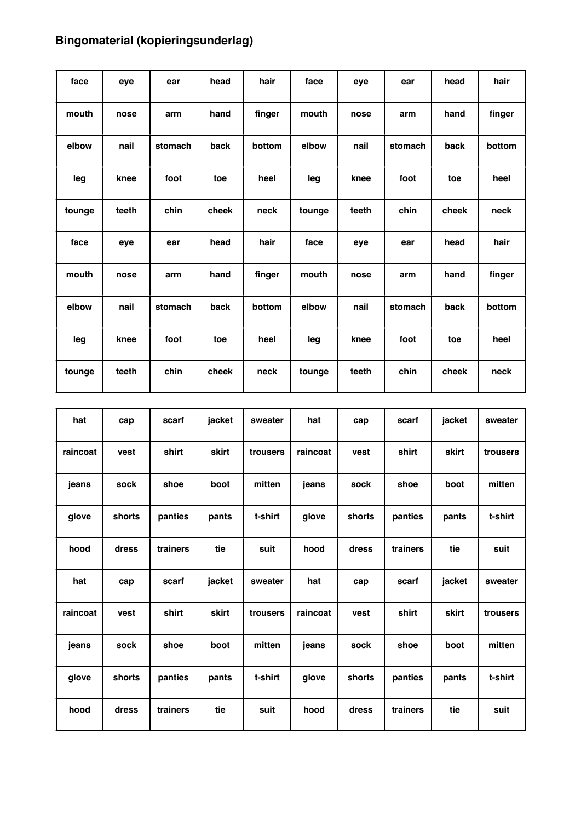## **Bingomaterial (kopieringsunderlag)**

| face   | eye   | ear     | head  | hair   | face   | eye   | ear     | head  | hair   |
|--------|-------|---------|-------|--------|--------|-------|---------|-------|--------|
| mouth  | nose  | arm     | hand  | finger | mouth  | nose  | arm     | hand  | finger |
| elbow  | nail  | stomach | back  | bottom | elbow  | nail  | stomach | back  | bottom |
| leg    | knee  | foot    | toe   | heel   | leg    | knee  | foot    | toe   | heel   |
| tounge | teeth | chin    | cheek | neck   | tounge | teeth | chin    | cheek | neck   |
| face   | eye   | ear     | head  | hair   | face   | eye   | ear     | head  | hair   |
| mouth  | nose  | arm     | hand  | finger | mouth  | nose  | arm     | hand  | finger |
| elbow  | nail  | stomach | back  | bottom | elbow  | nail  | stomach | back  | bottom |
| leg    | knee  | foot    | toe   | heel   | leg    | knee  | foot    | toe   | heel   |
| tounge | teeth | chin    | cheek | neck   | tounge | teeth | chin    | cheek | neck   |

| hat      | cap    | scarf    | jacket | sweater  | hat      | cap    | scarf    | jacket | sweater  |
|----------|--------|----------|--------|----------|----------|--------|----------|--------|----------|
| raincoat | vest   | shirt    | skirt  | trousers | raincoat | vest   | shirt    | skirt  | trousers |
| jeans    | sock   | shoe     | boot   | mitten   | jeans    | sock   | shoe     | boot   | mitten   |
| glove    | shorts | panties  | pants  | t-shirt  | glove    | shorts | panties  | pants  | t-shirt  |
| hood     | dress  | trainers | tie    | suit     | hood     | dress  | trainers | tie    | suit     |
| hat      | cap    | scarf    | jacket | sweater  | hat      | cap    | scarf    | jacket | sweater  |
| raincoat | vest   | shirt    | skirt  | trousers | raincoat | vest   | shirt    | skirt  | trousers |
| jeans    | sock   | shoe     | boot   | mitten   | jeans    | sock   | shoe     | boot   | mitten   |
| glove    | shorts | panties  | pants  | t-shirt  | glove    | shorts | panties  | pants  | t-shirt  |
| hood     | dress  | trainers | tie    | suit     | hood     | dress  | trainers | tie    | suit     |